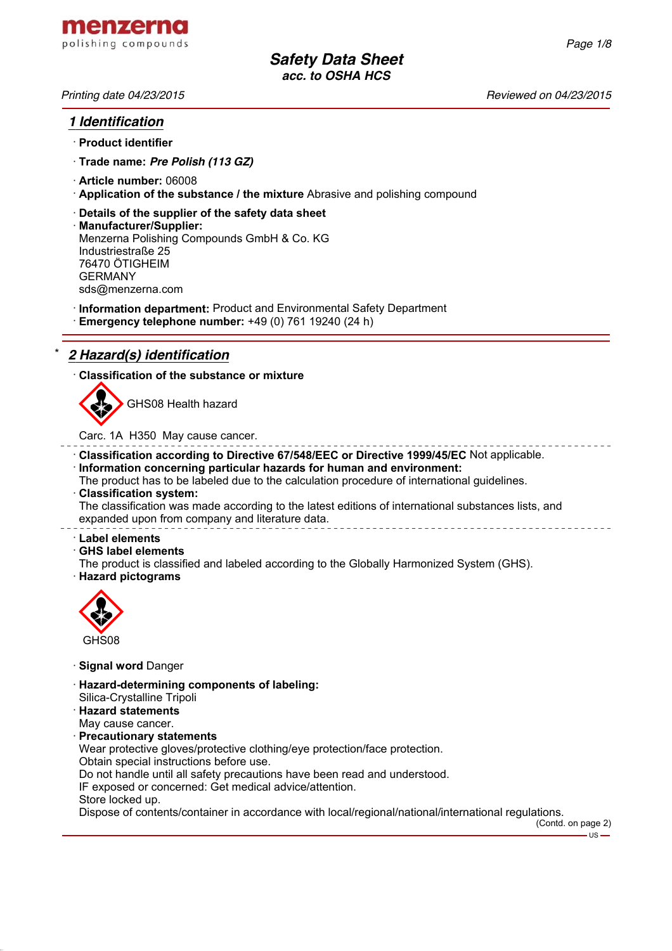*Printing date 04/23/2015 Reviewed on 04/23/2015*

# *1 Identification*

- · **Product identifier**
- · **Trade name:** *Pre Polish (113 GZ)*
- · **Article number:** 06008
- · **Application of the substance / the mixture** Abrasive and polishing compound
- · **Details of the supplier of the safety data sheet**
- · **Manufacturer/Supplier:** Menzerna Polishing Compounds GmbH & Co. KG Industriestraße 25 76470 ÖTIGHEIM GERMANY sds@menzerna.com
- · **Information department:** Product and Environmental Safety Department
- · **Emergency telephone number:** +49 (0) 761 19240 (24 h)

# \* *2 Hazard(s) identification*

· **Classification of the substance or mixture**



GHS08 Health hazard

Carc. 1A H350 May cause cancer.

- · **Classification according to Directive 67/548/EEC or Directive 1999/45/EC** Not applicable.
- · **Information concerning particular hazards for human and environment:**

The product has to be labeled due to the calculation procedure of international guidelines.

· **Classification system:**

The classification was made according to the latest editions of international substances lists, and expanded upon from company and literature data. <u> 2222222222</u>

· **Label elements**

· **GHS label elements**

The product is classified and labeled according to the Globally Harmonized System (GHS). · **Hazard pictograms**



· **Signal word** Danger

- · **Hazard-determining components of labeling:**
- Silica-Crystalline Tripoli
- · **Hazard statements**
- May cause cancer.
- · **Precautionary statements**

Wear protective gloves/protective clothing/eye protection/face protection.

Obtain special instructions before use.

Do not handle until all safety precautions have been read and understood.

IF exposed or concerned: Get medical advice/attention.

Store locked up.

Dispose of contents/container in accordance with local/regional/national/international regulations.

(Contd. on page 2)

- US -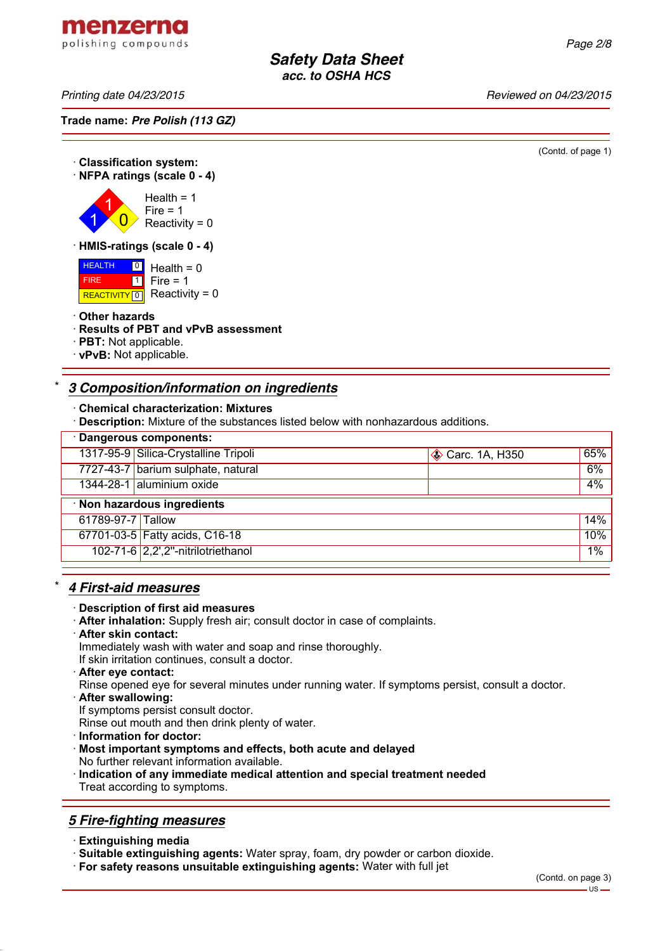*Printing date 04/23/2015 Reviewed on 04/23/2015*

menzerna polishing compounds

**Trade name:** *Pre Polish (113 GZ)*

(Contd. of page 1)

#### · **Classification system:** · **NFPA ratings (scale 0 - 4)** 1 1  $\overline{\mathbf{0}}$  $Health = 1$  $Fire = 1$ Reactivity =  $0$ · **HMIS-ratings (scale 0 - 4) HEALTH**

 FIRE REACTIVITY  $\boxed{0}$  Reactivity = 0  $\frac{0}{1}$  Health = 0  $\overline{\mathbf{1}}$ Fire  $= 1$ 

### · **Other hazards**

- · **Results of PBT and vPvB assessment**
- · **PBT:** Not applicable.
- · **vPvB:** Not applicable.

# \* *3 Composition/information on ingredients*

#### · **Chemical characterization: Mixtures**

· **Description:** Mixture of the substances listed below with nonhazardous additions.

| · Dangerous components:     |                                      |                         |     |
|-----------------------------|--------------------------------------|-------------------------|-----|
|                             | 1317-95-9 Silica-Crystalline Tripoli | <b>♦ Carc. 1A, H350</b> | 65% |
|                             | 7727-43-7 barium sulphate, natural   |                         | 6%  |
|                             | 1344-28-1 aluminium oxide            |                         | 4%  |
| · Non hazardous ingredients |                                      |                         |     |
| 61789-97-7 Tallow           |                                      |                         | 14% |
|                             | 67701-03-5 Fatty acids, C16-18       |                         | 10% |
|                             | 102-71-6 2,2',2"-nitrilotriethanol   |                         | 1%  |

# \* *4 First-aid measures*

#### · **Description of first aid measures**

- · **After inhalation:** Supply fresh air; consult doctor in case of complaints.
- · **After skin contact:** Immediately wash with water and soap and rinse thoroughly.
- If skin irritation continues, consult a doctor.
- · **After eye contact:**

Rinse opened eye for several minutes under running water. If symptoms persist, consult a doctor.

- · **After swallowing:**
- If symptoms persist consult doctor.

Rinse out mouth and then drink plenty of water.

· **Information for doctor:**

### · **Most important symptoms and effects, both acute and delayed** No further relevant information available.

· **Indication of any immediate medical attention and special treatment needed** Treat according to symptoms.

# *5 Fire-fighting measures*

· **Extinguishing media**

· **Suitable extinguishing agents:** Water spray, foam, dry powder or carbon dioxide.

· **For safety reasons unsuitable extinguishing agents:** Water with full jet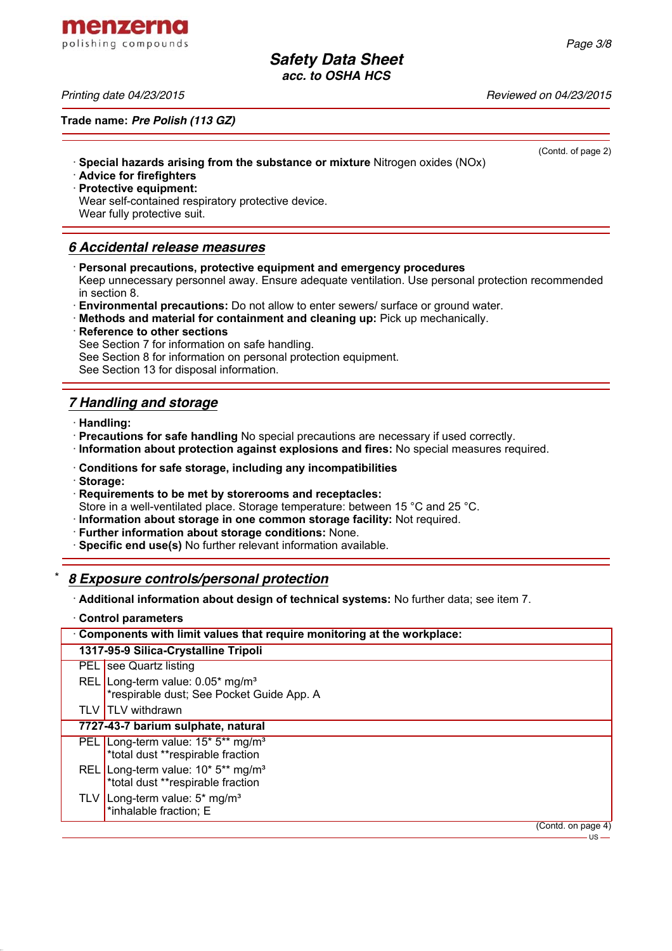(Contd. of page 2)

*Safety Data Sheet acc. to OSHA HCS*

menzerna polishing compounds

*Printing date 04/23/2015 Reviewed on 04/23/2015*

**Trade name:** *Pre Polish (113 GZ)*

- · **Special hazards arising from the substance or mixture** Nitrogen oxides (NOx)
- · **Advice for firefighters**

· **Protective equipment:**

Wear self-contained respiratory protective device. Wear fully protective suit.

# *6 Accidental release measures*

· **Personal precautions, protective equipment and emergency procedures**

Keep unnecessary personnel away. Ensure adequate ventilation. Use personal protection recommended in section 8.

- · **Environmental precautions:** Do not allow to enter sewers/ surface or ground water.
- · **Methods and material for containment and cleaning up:** Pick up mechanically.
- **Reference to other sections**

See Section 7 for information on safe handling.

See Section 8 for information on personal protection equipment.

See Section 13 for disposal information.

# *7 Handling and storage*

· **Handling:**

· **Precautions for safe handling** No special precautions are necessary if used correctly.

- · **Information about protection against explosions and fires:** No special measures required.
- · **Conditions for safe storage, including any incompatibilities**
- · **Storage:**
- · **Requirements to be met by storerooms and receptacles:**

Store in a well-ventilated place. Storage temperature: between 15 °C and 25 °C.

- · **Information about storage in one common storage facility:** Not required.
- · **Further information about storage conditions:** None.
- · **Specific end use(s)** No further relevant information available.

### \* *8 Exposure controls/personal protection*

· **Additional information about design of technical systems:** No further data; see item 7.

· **Control parameters**

| Components with limit values that require monitoring at the workplace: |                                                                                                             |                    |
|------------------------------------------------------------------------|-------------------------------------------------------------------------------------------------------------|--------------------|
|                                                                        | 1317-95-9 Silica-Crystalline Tripoli                                                                        |                    |
|                                                                        | PEL see Quartz listing                                                                                      |                    |
|                                                                        | REL Long-term value: 0.05* mg/m <sup>3</sup><br>*respirable dust; See Pocket Guide App. A                   |                    |
|                                                                        | TLV TLV withdrawn                                                                                           |                    |
|                                                                        | 7727-43-7 barium sulphate, natural                                                                          |                    |
|                                                                        | PEL Long-term value: 15 <sup>*</sup> 5 <sup>**</sup> mg/m <sup>3</sup><br>*total dust **respirable fraction |                    |
|                                                                        | REL Long-term value: 10* 5** mg/m <sup>3</sup><br>*total dust **respirable fraction                         |                    |
| TLV.                                                                   | Long-term value: 5* mg/m <sup>3</sup><br>*inhalable fraction; E                                             |                    |
|                                                                        |                                                                                                             | (Contd. on page 4) |

 $\overline{\mathsf{us}}$  —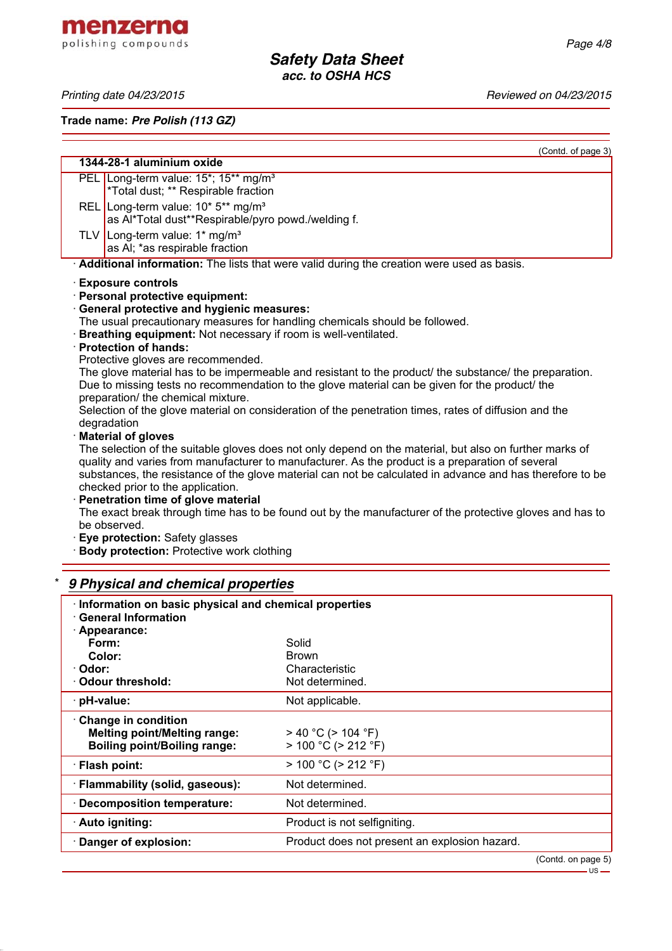menzerna polishing compounds

*Printing date 04/23/2015 Reviewed on 04/23/2015*

**Trade name:** *Pre Polish (113 GZ)*

(Contd. of page 3)

| 1344-28-1 aluminium oxide |                                                                                                                                                                                                                                                                                                                                                               |
|---------------------------|---------------------------------------------------------------------------------------------------------------------------------------------------------------------------------------------------------------------------------------------------------------------------------------------------------------------------------------------------------------|
|                           | PEL Long-term value: 15*; 15** mg/m <sup>3</sup><br>*Total dust; ** Respirable fraction                                                                                                                                                                                                                                                                       |
|                           | REL Long-term value: $10* 5**$ mg/m <sup>3</sup><br>as Al*Total dust**Respirable/pyro powd./welding f.                                                                                                                                                                                                                                                        |
|                           | TLV Long-term value: $1*$ mg/m <sup>3</sup><br>as AI; *as respirable fraction                                                                                                                                                                                                                                                                                 |
|                           | Additional information: The lists that were valid during the creation were used as basis.                                                                                                                                                                                                                                                                     |
|                           | <b>Exposure controls</b>                                                                                                                                                                                                                                                                                                                                      |
|                           | · Personal protective equipment:                                                                                                                                                                                                                                                                                                                              |
|                           | General protective and hygienic measures:                                                                                                                                                                                                                                                                                                                     |
|                           | The usual precautionary measures for handling chemicals should be followed.                                                                                                                                                                                                                                                                                   |
|                           | <b>Breathing equipment:</b> Not necessary if room is well-ventilated.                                                                                                                                                                                                                                                                                         |
|                           | · Protection of hands:                                                                                                                                                                                                                                                                                                                                        |
|                           | Protective gloves are recommended.                                                                                                                                                                                                                                                                                                                            |
|                           | The glove material has to be impermeable and resistant to the product/ the substance/ the preparation.<br>Due to missing tests no recommendation to the glove material can be given for the product/ the<br>preparation/ the chemical mixture.                                                                                                                |
|                           | Selection of the glove material on consideration of the penetration times, rates of diffusion and the<br>degradation                                                                                                                                                                                                                                          |
|                           | <b>Material of gloves</b>                                                                                                                                                                                                                                                                                                                                     |
|                           | The selection of the suitable gloves does not only depend on the material, but also on further marks of<br>quality and varies from manufacturer to manufacturer. As the product is a preparation of several<br>substances, the resistance of the glove material can not be calculated in advance and has therefore to be<br>checked prior to the application. |
|                           | · Penetration time of glove material                                                                                                                                                                                                                                                                                                                          |
|                           | The exact break through time has to be found out by the manufacturer of the protective gloves and has to<br>be observed.                                                                                                                                                                                                                                      |
|                           | Eye protection: Safety glasses                                                                                                                                                                                                                                                                                                                                |
|                           |                                                                                                                                                                                                                                                                                                                                                               |

· **Body protection:** Protective work clothing

# \* *9 Physical and chemical properties*

| Information on basic physical and chemical properties<br><b>General Information</b>                 |                                                      |
|-----------------------------------------------------------------------------------------------------|------------------------------------------------------|
| · Appearance:<br>Form:                                                                              | Solid                                                |
| Color:                                                                                              | <b>Brown</b>                                         |
| · Odor:                                                                                             | Characteristic                                       |
| Odour threshold:                                                                                    | Not determined.                                      |
| · pH-value:                                                                                         | Not applicable.                                      |
| · Change in condition<br><b>Melting point/Melting range:</b><br><b>Boiling point/Boiling range:</b> | $>$ 40 °C ( $>$ 104 °F)<br>$> 100 °C$ ( $> 212 °F$ ) |
| · Flash point:                                                                                      | $> 100 °C$ ( $> 212 °F$ )                            |
| · Flammability (solid, gaseous):                                                                    | Not determined.                                      |
| · Decomposition temperature:                                                                        | Not determined.                                      |
| · Auto igniting:                                                                                    | Product is not selfigniting.                         |
| Danger of explosion:                                                                                | Product does not present an explosion hazard.        |
|                                                                                                     | (ContdonposeE)                                       |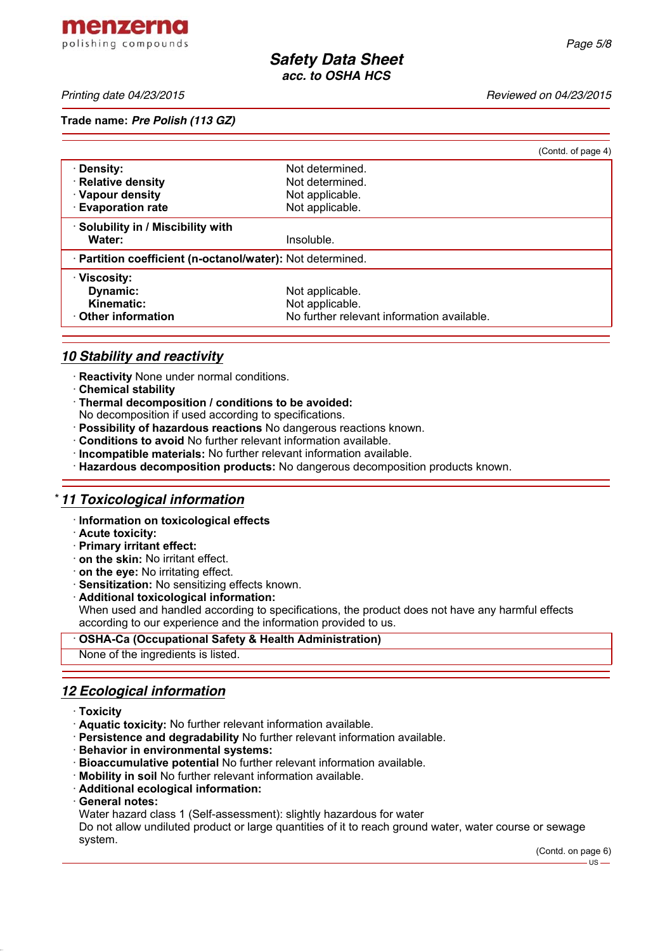menzerna polishing compounds

*Printing date 04/23/2015 Reviewed on 04/23/2015*

### **Trade name:** *Pre Polish (113 GZ)*

|                                                            |                                            | (Contd. of page 4) |
|------------------------------------------------------------|--------------------------------------------|--------------------|
| · Density:                                                 | Not determined.                            |                    |
| · Relative density                                         | Not determined.                            |                    |
| · Vapour density                                           | Not applicable.                            |                    |
| <b>Evaporation rate</b>                                    | Not applicable.                            |                    |
| · Solubility in / Miscibility with                         |                                            |                    |
| Water:                                                     | Insoluble.                                 |                    |
| · Partition coefficient (n-octanol/water): Not determined. |                                            |                    |
| · Viscosity:                                               |                                            |                    |
| Dynamic:                                                   | Not applicable.                            |                    |
| Kinematic:                                                 | Not applicable.                            |                    |
| ⋅ Other information                                        | No further relevant information available. |                    |

# *10 Stability and reactivity*

- · **Reactivity** None under normal conditions.
- · **Chemical stability**
- · **Thermal decomposition / conditions to be avoided:**
- No decomposition if used according to specifications.
- · **Possibility of hazardous reactions** No dangerous reactions known.
- · **Conditions to avoid** No further relevant information available.
- · **Incompatible materials:** No further relevant information available.
- · **Hazardous decomposition products:** No dangerous decomposition products known.

### \* *11 Toxicological information*

- · **Information on toxicological effects**
- · **Acute toxicity:**
- · **Primary irritant effect:**
- · **on the skin:** No irritant effect.
- · **on the eye:** No irritating effect.
- · **Sensitization:** No sensitizing effects known.
- · **Additional toxicological information:** When used and handled according to specifications, the product does not have any harmful effects according to our experience and the information provided to us.

### · **OSHA-Ca (Occupational Safety & Health Administration)**

None of the ingredients is listed.

# *12 Ecological information*

- · **Toxicity**
- · **Aquatic toxicity:** No further relevant information available.
- · **Persistence and degradability** No further relevant information available.
- · **Behavior in environmental systems:**
- · **Bioaccumulative potential** No further relevant information available.
- · **Mobility in soil** No further relevant information available.
- · **Additional ecological information:**
- · **General notes:**

Water hazard class 1 (Self-assessment): slightly hazardous for water

Do not allow undiluted product or large quantities of it to reach ground water, water course or sewage system.

> (Contd. on page 6) US-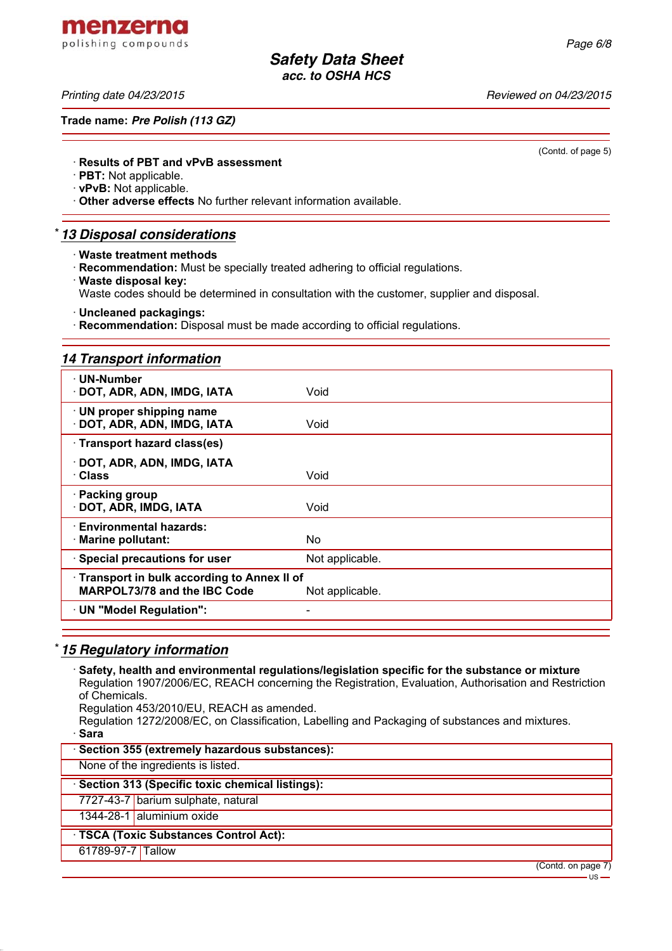menzerna polishing compounds

*Printing date 04/23/2015 Reviewed on 04/23/2015*

**Trade name:** *Pre Polish (113 GZ)*

(Contd. of page 5)

### · **Results of PBT and vPvB assessment**

· **PBT:** Not applicable.

· **vPvB:** Not applicable.

· **Other adverse effects** No further relevant information available.

# \* *13 Disposal considerations*

· **Waste treatment methods**

· **Recommendation:** Must be specially treated adhering to official regulations.

· **Waste disposal key:**

Waste codes should be determined in consultation with the customer, supplier and disposal.

· **Uncleaned packagings:**

· **Recommendation:** Disposal must be made according to official regulations.

### *14 Transport information*

| ⋅ UN-Number<br>· DOT, ADR, ADN, IMDG, IATA                                                      | Void            |
|-------------------------------------------------------------------------------------------------|-----------------|
| · UN proper shipping name<br>· DOT, ADR, ADN, IMDG, IATA                                        | Void            |
| · Transport hazard class(es)                                                                    |                 |
| · DOT, ADR, ADN, IMDG, IATA<br>· Class                                                          | Void            |
| · Packing group<br>· DOT, ADR, IMDG, IATA                                                       | Void            |
| <b>Environmental hazards:</b><br>· Marine pollutant:                                            | No.             |
| · Special precautions for user                                                                  | Not applicable. |
| · Transport in bulk according to Annex II of<br>MARPOL73/78 and the IBC Code<br>Not applicable. |                 |
| · UN "Model Regulation":                                                                        |                 |
|                                                                                                 |                 |

# \* *15 Regulatory information*

· **Safety, health and environmental regulations/legislation specific for the substance or mixture** Regulation 1907/2006/EC, REACH concerning the Registration, Evaluation, Authorisation and Restriction of Chemicals. Regulation 453/2010/EU, REACH as amended.

Regulation 1272/2008/EC, on Classification, Labelling and Packaging of substances and mixtures. · **Sara**

· **Section 355 (extremely hazardous substances):**

None of the ingredients is listed.

### · **Section 313 (Specific toxic chemical listings):**

7727-43-7 barium sulphate, natural

1344-28-1 aluminium oxide

### · **TSCA (Toxic Substances Control Act):**

61789-97-7 Tallow

(Contd. on page 7)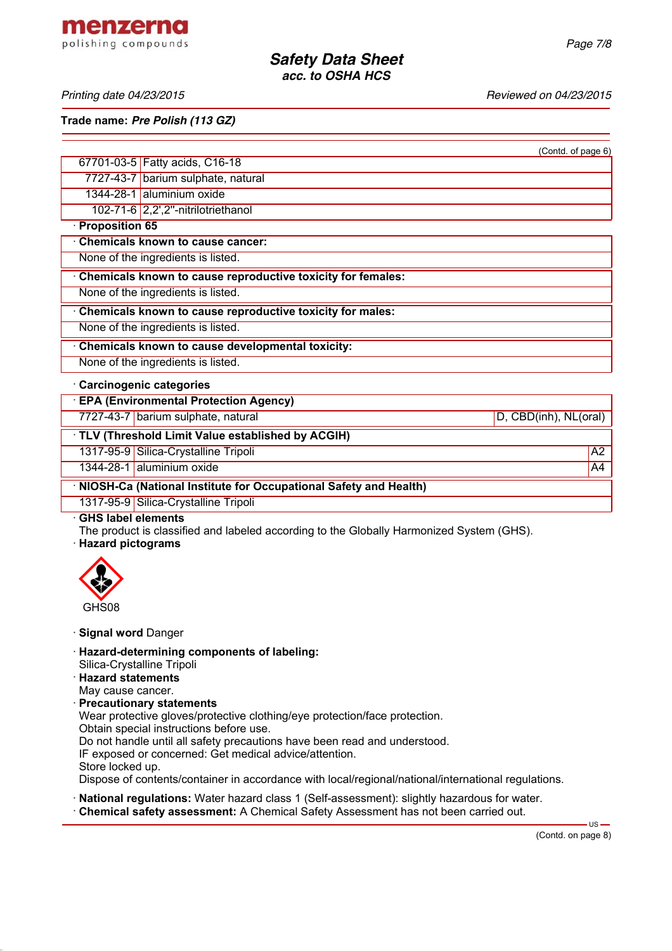*Printing date 04/23/2015 Reviewed on 04/23/2015*

**Trade name:** *Pre Polish (113 GZ)*

| (Contd. of page 6)                                                                                                                           |
|----------------------------------------------------------------------------------------------------------------------------------------------|
| 67701-03-5 Fatty acids, C16-18                                                                                                               |
| 7727-43-7 barium sulphate, natural                                                                                                           |
| 1344-28-1 aluminium oxide                                                                                                                    |
| 102-71-6 2,2',2"-nitrilotriethanol                                                                                                           |
| · Proposition 65                                                                                                                             |
| Chemicals known to cause cancer:                                                                                                             |
| None of the ingredients is listed.                                                                                                           |
| Chemicals known to cause reproductive toxicity for females:                                                                                  |
| None of the ingredients is listed.                                                                                                           |
| Chemicals known to cause reproductive toxicity for males:                                                                                    |
| None of the ingredients is listed.                                                                                                           |
| Chemicals known to cause developmental toxicity:                                                                                             |
| None of the ingredients is listed.                                                                                                           |
| Carcinogenic categories                                                                                                                      |
| <b>EPA (Environmental Protection Agency)</b>                                                                                                 |
| 7727-43-7 barium sulphate, natural<br>D, CBD(inh), NL(oral)                                                                                  |
| TLV (Threshold Limit Value established by ACGIH)                                                                                             |
| 1317-95-9 Silica-Crystalline Tripoli<br>$\overline{A2}$                                                                                      |
| 1344-28-1 aluminium oxide<br>A <sup>4</sup>                                                                                                  |
| · NIOSH-Ca (National Institute for Occupational Safety and Health)                                                                           |
| 1317-95-9 Silica-Crystalline Tripoli                                                                                                         |
| <b>GHS label elements</b><br>The product is classified and labeled according to the Globally Harmonized System (GHS).<br>· Hazard pictograms |
|                                                                                                                                              |
| GHS08                                                                                                                                        |
| · Signal word Danger                                                                                                                         |
| · Hazard-determining components of labeling:<br>Cilian Cruatalling Trinoli                                                                   |

- Silica-Crystalline Tripoli
- · **Hazard statements**
- May cause cancer.
- · **Precautionary statements**

Wear protective gloves/protective clothing/eye protection/face protection.

Obtain special instructions before use.

Do not handle until all safety precautions have been read and understood.

IF exposed or concerned: Get medical advice/attention.

Store locked up.

Dispose of contents/container in accordance with local/regional/national/international regulations.

· **National regulations:** Water hazard class 1 (Self-assessment): slightly hazardous for water. · **Chemical safety assessment:** A Chemical Safety Assessment has not been carried out.

(Contd. on page 8)

 $\overline{US}$  –